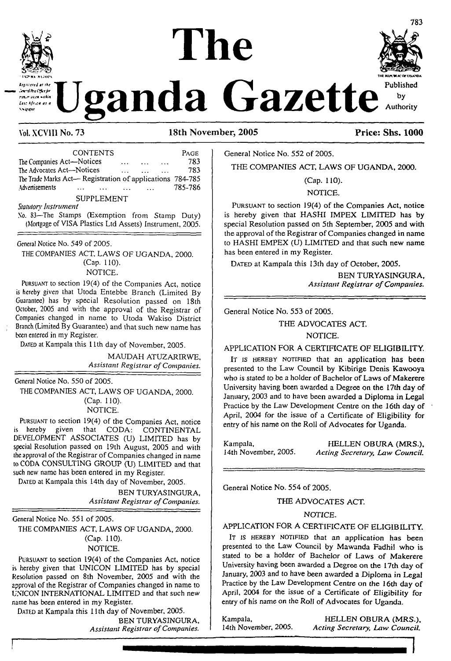# **The**



**definition**  $\alpha$  and a Gazette *by authority* 



**Vol. XCV1I1 No. 73 18th November, 2005 Price: Shs. 1000**

| <b>CONTENTS</b>                                           |          |  | PAGE    |
|-----------------------------------------------------------|----------|--|---------|
| The Companies Act-Notices                                 | $\cdots$ |  | 783     |
| The Advocates Act-Notices                                 |          |  | 783     |
| The Trade Marks Act— Registration of applications 784-785 |          |  |         |
| Advertisements                                            |          |  | 785-786 |
| <b>SUPPLEMENT</b>                                         |          |  |         |
| Statutory Instrument                                      |          |  |         |
| No. 83-The Stamps (Exemption from Stamp Duty)             |          |  |         |

(Mortgage of VISA Plastics Ltd Assets) Instrument, 2005.

General Notice No. 549 of 2005.

THE COMPANIES ACT, LAWS OF UGANDA, 2000. (Cap. 110).

NOTICE.

<sup>P</sup>ursuant to section 19(4) of the Companies Act, notice is hereby given that Utoda Entebbe Branch (Limited By Guarantee) has by special Resolution passed on 18th October, 2005 and with the approval of the Registrar of Companies changed in name to Utoda Wakiso District Branch (Limited By Guarantee) and that such new name has been entered in my Register.

DATED at Kampala this 11th day of November, 2005.

MAUDAH ATUZARIRWE, Assistant *Registrar ofCompanies.*

General Notice No. 550 of 2005.

THE COMPANIES ACT, LAWS OF UGANDA, 2000. (Cap. 110). NOTICE.

Pursuant to section 19(4) of the Companies Act, notice is hereby given that CODA: CONTINENTAL DEVELOPMENT ASSOCIATES (U) LIMITED has by special Resolution passed on 19th August, 2005 and with the approval of the Registrar of Companies changed in name to CODA CONSULTING GROUP (U) LIMITED and that such new name has been entered in my Register.

DATED at Kampala this 14th day of November, 2005.

BEN TURYASINGURA, *Assistant Registrar ofCompanies.*

General Notice No. 551 of 2005.

THE COMPANIES ACT, LAWS OF UGANDA, 2000. (Cap. 110).

NOTICE.

Pursuant to section 19(4) of the Companies Act, notice is hereby given that UNICON LIMITED has by special Resolution passed on 8th November, 2005 and with the approval of the Registrar of Companies changed in name to UNICON INTERNATIONAL LIMITED and that such new name has been entered in my Register.

DATED at Kampala this 11th day of November, 2005. BEN TURYASINGURA, *Assistant Registrar ofCompanies.*

General Notice No. 552 of 2005.

THE COMPANIES ACT, LAWS OF UGANDA, 2000.

(Cap. 110).

NOTICE.

Pursuant to section 19(4) of the Companies Act, notice is hereby given that HASHI IMPEX LIMITED has by special Resolution passed on 5th September, 2005 and with the approval of the Registrar of Companies changed in name to HASHI EMPEX (U) LIMITED and that such new name has been entered in my Register.

DATED at Kampala this 13th day of October, 2005.

BEN TURYASINGURA, *Assistant Registrar ofCompanies.*

General Notice No. 553 of 2005.

THE ADVOCATES ACT.

NOTICE.

APPLICATION FOR A CERTIFICATE OF ELIGIBILITY.

It is HEREBY NOTIFIED that an application has been presented to the Law Council by Kibirige Denis Kawooya who is stated to be a holder of Bachelor of Laws of Makerere University having been awarded a Degree on the 17th day of January, 2003 and to have been awarded a Diploma in Legal Practice by the Law Development Centre on the 16th day of April, 2004 for the issue of a Certificate of Eligibility for entry of his name on the Roll of Advocates for Uganda.

Kampala, FIELLEN OBURA (MRS.), HELLEN OBURA (MRS.), 14th November, 2005. Acting Secretary, Law Council. 14th November, 2005. *Acting Secretary, Law Council.*

General Notice No. 554 of 2005.

THE ADVOCATES ACT.

#### NOTICE.

#### APPLICATION FOR A CERTIFICATE OF ELIGIBILITY.

IT IS HEREBY NOTIFIED that an application has been presented to the Law Council by Mawanda Fadhil who is stated to be a holder of Bachelor of Laws of Makerere University having been awarded a Degree on the 17th day of January, 2003 and to have been awarded a Diploma in Legal Practice by the Law Development Centre on the 16th day of April, 2004 for the issue of a Certificate of Eligibility for entry of his name on the Roll of Advocates for Uganda.

Kampala, **HELLEN OBURA (MRS.)**, 14th November, 2005. *Acting Secretary. Law Council.* 14th November, 2005. *Acting Secretary, Law Council.*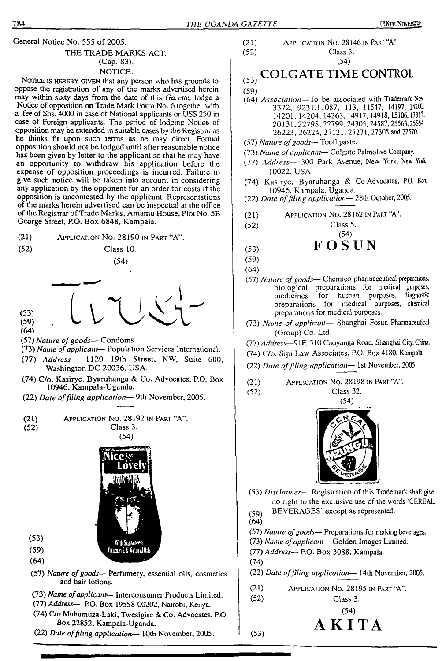General Notice No. 555 of 2005. THE TRADE MARKS ACT. (Cap. 83).

#### NOTICE.

NOTICE IS HEREBY GIVEN that any person who has grounds to oppose the registration of any of the marks advertised herein may within sixty days from the date of this *Gazette,* lodge a Notice of opposition on Trade Mark Form No. 6 together with a fee of Shs. 4000 in case of National applicants or USS 250 in case of Foreign applicants. The period of lodging Notice of opposition may be extended in suitable cases by the Registrar as he thinks fit upon such terms as he may direct. Formal opposition should not be lodged until after reasonable notice has been given by letter to the applicant so that he may have an opportunity to withdraw his application before the expense of opposition proceedings is incurred. Failure to give such notice will be taken into account in considering any application by the opponent for an order for costs if the opposition is uncontested by the applicant. Representations of the marks herein advertised can be inspected at the office of the Registrar of Trade Marks, Amamu House, Plot No. 5B George Street, P.O. Box 6848, Kampala.

- (21) Application No. 28190 in Part "A".
- 

 $(53)$  $(59)$  $(64)$ 

(52) Class 10.

$$
\frac{1}{2} \sum_{i=1}^{2} \sum_{j=1}^{2} \sum_{j=1}^{2} \frac{1}{2} \sum_{j=1}^{2} \frac{1}{2}
$$

 $(54)$ 

- (57) *Nature ofgoods—* Condoms.
- (73) *Name ofapplicant* Population Services International.
- (77) *Address—* 1120 19th Street, NW, Suite 600, Washington DC 20036, USA.
- (74) C/o. Kasirye, Byaruhanga & Co. Advocates, P.O. Box 10946, Kampala-Uganda.
- (22) *Date offiling application—* 9th November, 2005.

(21) **APPLICATION NO. 28192 IN PART "A".**  
(52) **Class 3.** 
$$
(54)
$$



(59) (64)

(53)

- (57) *Nature of goods—* Perfumery, essential oils, cosmetics and hair lotions.
- (73) *Name ofapplicant* Interconsumer Products Limited.
- (77) *Address—* P.O.Box 19558-00202, Nairobi, Kenya.
- (74) C/o Muhumuza-Laki, Twesigire & Co. Advocates, P.O. Box 22852, Kampala-Uganda.
- (22) *Date offiling application—* 10th November, 2005.

(21) (52) Application No. 28146 in Part "A". Class 3.

#### (53) COLGATE TIME CONTROL

(54)

$$
\left(59\right)
$$

- (64) *Association—*To be associated with Trademark Sa-3372. 9231,11087, 113, 11547, 14197, 142(C 14201, 14204, 14263, 14917,14918,15106,17317, 20 <sup>1</sup> 31.22798, 22799, 24305,24587,25563,2556\* 26223, 26224, 27121. 27271, 27305 and 27570.
- (57) *Nature ofgoods—* Toothpaste.
- (73) *Name ofapplicant—* Colgate Palmolive Company.
- (77) *Address—* 300 Park Avenue, New York, New Ycd 10022, USA.
- (74) Kasirye, Byaruhanga & Co Advocates, P.O. Box 10946, Kampala, Uganda.
- (22) *Date offiling application-* 28th October, 2005.
- (21) Application No. 28162 in Part "A".
- (52)
- 

$$
\begin{array}{cc}\n & \text{F} \mathbf{O} \overset{(54)}{\mathbf{S}} \mathbf{U} \, \mathbf{N}\n\end{array}
$$

Class 5.

- (59)
- (64)
- medicines for human purposes, diagnostic (57) *Nature ofgoods—* Chemico-pharmaceutical preparations, biological preparations for medical purposes, preparations for medical purposes, chemical preparations for medical purposes.
- (73) *Name of applicant—* Shanghai Fosun Pharmaceutical (Group) Co. Ltd.
- (77) *Address*—9 IF, 510 Caoyanga Road, Shanghai City, China.
- (74) C/o. Sipi Law Associates, P.O. Box 4180, Kampala.
- (22) *Date offiling application—* 1st November, 2005.
- (21) Application No. 28198 in Part "A".

(52)

Class 32. (54)



- (53) *Disclaimer—* Registration of this Trademark shall give no right to the exclusive use of the words 'CEREAL
- BEVERAGES' except as represented. (59)
- (64)

(53)

(57) *Nature ofgoods—* Preparations for making beverages.

- (73) *Name ofapplicant—* Golden Images Limited.
- (77) *Address—* P.O. Box 3088, Kampala.
- (74)

(22) *Date offiling application—* 14th November. 2005.

AKITA

(21) (52) Application No. 28195 in Part "A". Class 3.

(54)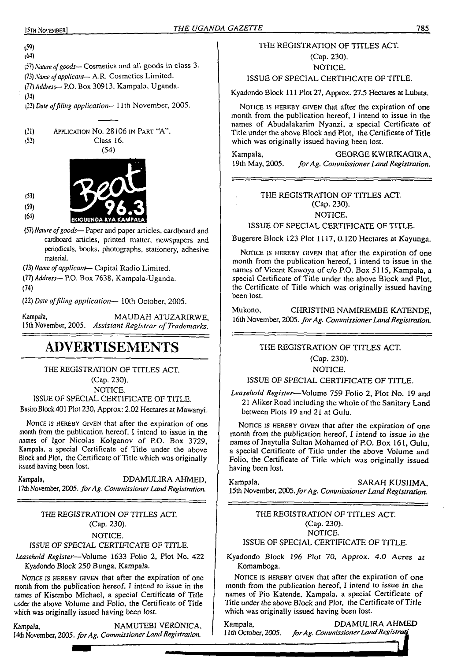#### (59) 1\*1)

'<5?) *Nature ofgoods—* Cosmetics and all goods in class 3. (73) *Name ofapplicant—* A.R. Cosmetics Limited.

(77) *Address—* P.O. Box 30913, Kampala, Uganda.

(74)

(22) *Dare offiling application—*11th November, 2005.

| (21) | APPLICATION NO. 28106 IN PART "A". |
|------|------------------------------------|
| 1521 | Class 16.                          |



*ifl)Nature ofgoods—*Paper and paper articles, cardboard and cardboard articles, printed matter, newspapers and periodicals, books, photographs, stationery, adhesive material.

*(73) Name of applicant*— Capital Radio Limited.

- (77) Address—P.O. Box 7638, Kampala-Uganda.
- (74)

(53) (59) (64)

(22) *Date offiling application—* 10th October, 2005.

Kampala, MAUDAH ATUZARIRWE, 15th November, 2005. *Assistant Registrar ofTrademarks.*

## **ADVERTISEMENTS**

THE REGISTRATION OF TITLES ACT.

(Cap. 230). NOTICE.

ISSUE OF SPECIAL CERTIFICATE OF TITLE.

Busiro Block 401 Plot 230, Approx: 2.02 Hectares at Mawanyi.

NOTICE IS HEREBY GIVEN that after the expiration of one month from the publication hereof, I intend to issue in the names of Igor Nicolas Kolganov of P.O. Box 3729, Kampala, a special Certificate of Title under the above Block and Plot, the Certificate of Title which was originally issued having been lost.

Kampala, DDAMULIRA AHMED, *17th* November, 2005. *forAg. CommissionerLandRegistration.*

#### *THE REGISTRATION OF TITLES ACT.* (Cap. 230).

NOTICE.

#### *ISSUE OF SPECIAL CERTIFICATE* OF TITLE.

*Leasehold Register*—Volume 1633 Folio 2, Plot No. 422 Kyadondo Block 250 Bunga, Kampala.

NOTICE IS HEREBY GIVEN that after the expiration of one month from the publication hereof, I intend to issue in the names of Kisembo Michael, a special Certificate of Title under the above Volume and Folio, the Certificate of Title which was originally issued having been lost.

Kampala, NAMUTEBI VERONICA, I4th November, 2005. *forAg. CommissionerLandRegistration.*

#### THE REGISTRATION OF TITLES ACT.

(Cap. 230).

NOTICE.

ISSUE OF SPECIAL CERTIFICATE OF TITLE.

Kyadondo Block 111 Plot 27, Approx. 27.5 Hectares at Lubata.

NOTICE IS HEREBY GIVEN that after the expiration of one month from the publication hereof, I intend to issue in the names of Abudalakarim Nyanzi, a special Certificate of Title under the above Block and Plot, the Certificate of Title which was originally issued having been lost.

Kampala, GEORGE KWIRIKAGIRA, 19th May, 2005. for Ag. Commissioner Land Registration. 19th May, 2005. *forAg. Commissioner Laird Registration.*

#### THE REGISTRATION OF TITLES ACT. (Cap. 230). NOTICE.

ISSUE OF SPECIAL CERTIFICATE OF TITLE.

Bugerere Block 123 Plot 1117, 0.120 Hectares at Kayunga.

NOTICE IS HEREBY GIVEN that after the expiration of one month from the publication hereof, I intend to issue in the names of Vicent Kawoya of c/o P.O. Box 5115, Kampala, a special Certificate of Title under the above Block and Plot, the Certificate of Title which was originally issued having been lost.

Mukono, CHRISTINE NAMIREMBE KATENDE, 16th November, 2005. *forAg. CommissionerLandRegistration.*

#### THE REGISTRATION OF TITLES ACT.

(Cap. 230).

NOTICE.

#### ISSUE OF SPECIAL CERTIFICATE OF TITLE.

*Leasehold Register*—Volume 759 Folio 2, Plot No. 19 and 21 Aliker Road including the whole of the Sanitary Land between Plots 19 and 21 at Gulu.

NOTICE IS HEREBY GIVEN that after the expiration of one month from the publication hereof, I intend to issue in the names of Inaytulla Sultan Mohamed of P.O. Box 161, Gulu, a special Certificate of Title under the above Volume and Folio, the Certificate of Title which was originally issued having been lost.

Kampala, SARAH KUSIIMA, 15th November, *2(X)5.forAg. Commissioner Land Registration.*

#### THE REGISTRATION *OF* TITLES ACT. (Cap. 230). NOTICE.

#### ISSUE OF SPECIAL CERTIFICATE OF TITLE.

Kyadondo Block *196 Plot 70, Approx. 4.0 Acres at* Komamboga.

NOTICE IS HEREBY GIVEN that after the expiration of one month from the publication hereof, I intend to issue in rhe names of Pio Katende, Kampala, a special Certificate of Title under the above Block and Plot, the Certificate of Title which was originally issued having been lost.

Kampala, DDAMULIRA AHMED *11th* October, *2005. forAg. CommissionerLandRegistrar!*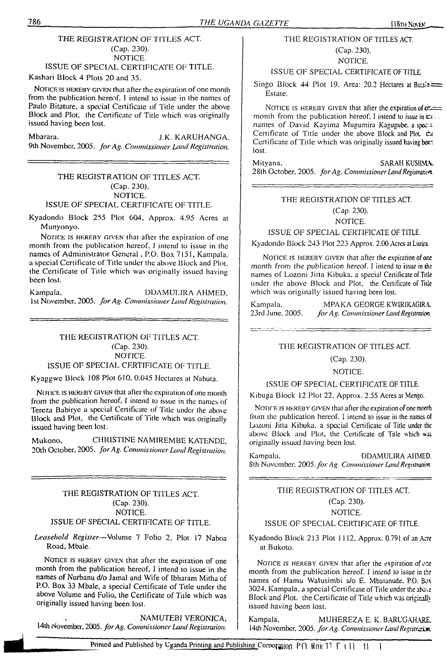#### THE REGISTRATION OF TITLES ACT. (Cap. 230). NOTICE.

ISSUE OF SPECIAL CERTIFICATE OF TITLE.

Kashari Block 4 Plots 20 and 35.

NOTICE IS HEREBY GIVEN that after the expiration of one month from the publication hereof. I intend to issue in the names of Paulo Bitature, a special Certificate of Title under the above Block and Plot, the Certificate of Title which was originally issued having been lost.

Mbarara. J, K, KARUHANGA. 9th November, 2005. *forAg. Commissioner Land Registration.*

#### THE REGISTRATION OF TITLES ACT. (Cap. 230). NOTICE. ISSUE OF SPECIAL CERTIFICATE OF TITLE.

Kyadondo Block 255 Plot 604, Approx. 4.95 Acres at Munyonyo.

NOTICE IS HEREBY GIVEN that after the expiration of one month from the publication hereof. I intend to issue in the names of Administrator General . P.O. Box 7151, Kampala, a special Certificate of Title under the above Block and Plot, the Certificate of Title which was originally issued having been lost.

Kampala. DDAMULIRA AHMED, 1st November. 2005. *forAg. Commissioner LandRegistration.*

> THE REGISTRATION OF TITLES ACT. (Cap. 230). NOTICE.

ISSUE OF SPECIAL CERTIFICATE OF TITLE.

Kyaggwe Block 108 Plot 610. 0.045 Hectares at Nabuta.

NOTICE IS HEREBY GIVEN that after the expiration of one month from the publication hereof, I intend to issue in the names of Tereza Babirye a special Certificate of Title under the above Block and Plot, the Certificate of Title which was originally issued having been lost.

Mukono, CHRISTINE NAMIREMBE KATENDE. 20th October, 2005. *forAg. Commissioner Land Registration.*

THE REGISTRATION OF TITLES ACT. (Cap. 230). NOTICE. ISSUE OF SPECIAL CERTIFICATE OF TITLE.

*Leasehold Register—*Volume 7 Folio 2. Plot 17 Naboa Road, Mbale.

NOTICE IS HEREBY GIVEN that after the expiration of one month from the publication hereof. I intend to issue in the names of Nurbanu d/o Jamal and Wife of Ibharam Mitha of P.O. Box 33 Mbale, a special Certificate of Title under the above Volume and Folio, the Certificate of Title which was originally issued having been lost.

NAMUTEBI VERONICA, 14th November, 2005. *forAg. CommissionerLand Registration.*

#### THE REGISTRATION OF TITLES ACT. (Cap. 230).

#### NOTICE.

#### ISSUE OF SPECIAL CERTIFICATE OFTITLE

Singo Block 44 Plot 19, Area: 20.2 Hectares at Business Estate.

NOTICE IS HEREBY GIVEN that after the expiration of  $c =$ month from the publication hereof, I intend to issue in  $\mathfrak{m}$ . names of David Kayima Mugumira Kagugube, a speca. Certificate of Title under the above Block and Plot. tx Certificate of Title which was originally issued having been: lost.

Mityana. SARAH KUSIIMA 28th October. 2005. *forAg. CommissionerLandRegistraii&t*

#### THE REGISTRATION OF TITLES ACT.

(Cap. 230).

NOTICE.

ISSUE OF SPECIAL CERTIFICATE OF TITLE.

Kyadondo Block 243 Plot 223 Approx. 2.00 Acres at Luzira.

NOTICE IS HEREBY GIVEN that after the expiration of one month from the publication hereof. I intend to issue in the names of Lozoni Jitta Kibuka. a special Certificate of Title under the above Block and Plot, the Certificate of Title which was originally issued having been lost.

Kampala. MPAKA GEORGE KWIRIKAGIRA. 23rd June, 2005. *forAg. Commissioner Land Registration.*

#### THE REGISTRATION OF TITLES ACT.

(Cap. 230).

NOTICE.

ISSUE OF SPECIAL CERTIFICATE OF TITLE.

Kibuga Block 12 Plot 22. Approx. 2.55 Acres at Mengo.

NOTICE IS HEREBY GIVEN that after the expiration of one month from the publication hereof, I intend to issue in the names of Lozoni Jitta Kibuka. a special Certificate of Title under the above Block and Plot, the Certificate of Title which was originally issued having been lost.

Kampala, DDAMULIRA AHMED, 8th November, *2005.forAg. Commissioner Land Registration*

#### THE REGISTRATION OF TITLES ACT.

(Cap. 230).

NOTICE.

ISSUE OF SPECIAL CERTIFICATE OF TITLE.

Kyadondo Block 213 Plot 1112. Approx. 0.791 of an Acre at Bukoto.

NOTICE IS HEREBY GIVEN that after the expiration of exmonth from the publication hereof. I intend to issue in the names of Hamu Walusimbi s/o E, Mbatanude. P.O. Box 3024, Kampala, a special Certificate of Title under the above Block and Plot, the Certificate of Title which was originally issued having been lost.

Kampala, MUHEREZA E. K. BARUGAHARE. 14th November, 2005. for Ag. Commissioner Land Registration.